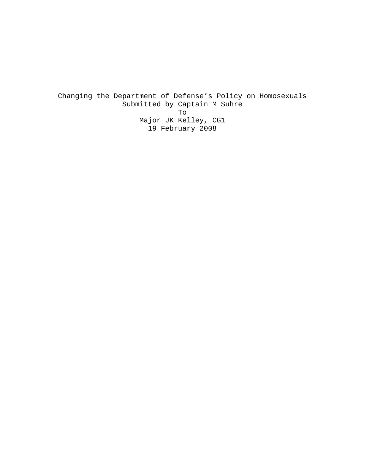Changing the Department of Defense's Policy on Homosexuals Submitted by Captain M Suhre To Major JK Kelley, CG1 19 February 2008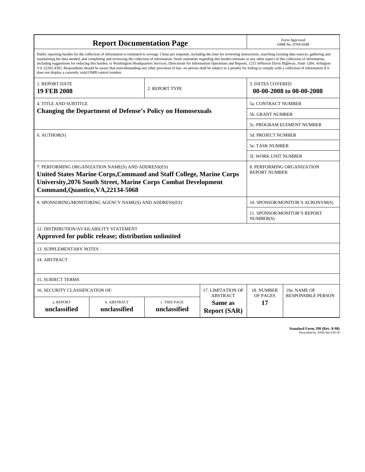| <b>Report Documentation Page</b>                                                                                                                                                                                                                                                                                                                                                                                                                                                                                                                                                                                                                                                                                                                                                                                                                                   |                             |                              |                                                   | Form Approved<br>OMB No. 0704-0188                  |                           |
|--------------------------------------------------------------------------------------------------------------------------------------------------------------------------------------------------------------------------------------------------------------------------------------------------------------------------------------------------------------------------------------------------------------------------------------------------------------------------------------------------------------------------------------------------------------------------------------------------------------------------------------------------------------------------------------------------------------------------------------------------------------------------------------------------------------------------------------------------------------------|-----------------------------|------------------------------|---------------------------------------------------|-----------------------------------------------------|---------------------------|
| Public reporting burden for the collection of information is estimated to average 1 hour per response, including the time for reviewing instructions, searching existing data sources, gathering and<br>maintaining the data needed, and completing and reviewing the collection of information. Send comments regarding this burden estimate or any other aspect of this collection of information,<br>including suggestions for reducing this burden, to Washington Headquarters Services, Directorate for Information Operations and Reports, 1215 Jefferson Davis Highway, Suite 1204, Arlington<br>VA 22202-4302. Respondents should be aware that notwithstanding any other provision of law, no person shall be subject to a penalty for failing to comply with a collection of information if it<br>does not display a currently valid OMB control number. |                             |                              |                                                   |                                                     |                           |
| 1. REPORT DATE<br><b>19 FEB 2008</b>                                                                                                                                                                                                                                                                                                                                                                                                                                                                                                                                                                                                                                                                                                                                                                                                                               | 2. REPORT TYPE              |                              |                                                   | <b>3. DATES COVERED</b><br>00-00-2008 to 00-00-2008 |                           |
| <b>4. TITLE AND SUBTITLE</b>                                                                                                                                                                                                                                                                                                                                                                                                                                                                                                                                                                                                                                                                                                                                                                                                                                       |                             |                              |                                                   | 5a. CONTRACT NUMBER                                 |                           |
| <b>Changing the Department of Defense's Policy on Homosexuals</b>                                                                                                                                                                                                                                                                                                                                                                                                                                                                                                                                                                                                                                                                                                                                                                                                  |                             |                              |                                                   | <b>5b. GRANT NUMBER</b>                             |                           |
|                                                                                                                                                                                                                                                                                                                                                                                                                                                                                                                                                                                                                                                                                                                                                                                                                                                                    |                             |                              |                                                   | 5c. PROGRAM ELEMENT NUMBER                          |                           |
| 6. AUTHOR(S)                                                                                                                                                                                                                                                                                                                                                                                                                                                                                                                                                                                                                                                                                                                                                                                                                                                       |                             |                              |                                                   | <b>5d. PROJECT NUMBER</b>                           |                           |
|                                                                                                                                                                                                                                                                                                                                                                                                                                                                                                                                                                                                                                                                                                                                                                                                                                                                    |                             |                              |                                                   | <b>5e. TASK NUMBER</b>                              |                           |
|                                                                                                                                                                                                                                                                                                                                                                                                                                                                                                                                                                                                                                                                                                                                                                                                                                                                    |                             |                              |                                                   | <b>5f. WORK UNIT NUMBER</b>                         |                           |
| 7. PERFORMING ORGANIZATION NAME(S) AND ADDRESS(ES)<br>United States Marine Corps, Command and Staff College, Marine Corps<br><b>University, 2076 South Street, Marine Corps Combat Development</b><br>Command, Quantico, VA, 22134-5068                                                                                                                                                                                                                                                                                                                                                                                                                                                                                                                                                                                                                            |                             |                              |                                                   | 8. PERFORMING ORGANIZATION<br><b>REPORT NUMBER</b>  |                           |
| 9. SPONSORING/MONITORING AGENCY NAME(S) AND ADDRESS(ES)                                                                                                                                                                                                                                                                                                                                                                                                                                                                                                                                                                                                                                                                                                                                                                                                            |                             |                              |                                                   | 10. SPONSOR/MONITOR'S ACRONYM(S)                    |                           |
|                                                                                                                                                                                                                                                                                                                                                                                                                                                                                                                                                                                                                                                                                                                                                                                                                                                                    |                             |                              |                                                   | 11. SPONSOR/MONITOR'S REPORT<br>NUMBER(S)           |                           |
| 12. DISTRIBUTION/AVAILABILITY STATEMENT<br>Approved for public release; distribution unlimited                                                                                                                                                                                                                                                                                                                                                                                                                                                                                                                                                                                                                                                                                                                                                                     |                             |                              |                                                   |                                                     |                           |
| 13. SUPPLEMENTARY NOTES                                                                                                                                                                                                                                                                                                                                                                                                                                                                                                                                                                                                                                                                                                                                                                                                                                            |                             |                              |                                                   |                                                     |                           |
| 14. ABSTRACT                                                                                                                                                                                                                                                                                                                                                                                                                                                                                                                                                                                                                                                                                                                                                                                                                                                       |                             |                              |                                                   |                                                     |                           |
| <b>15. SUBJECT TERMS</b>                                                                                                                                                                                                                                                                                                                                                                                                                                                                                                                                                                                                                                                                                                                                                                                                                                           |                             |                              |                                                   |                                                     |                           |
| 16. SECURITY CLASSIFICATION OF:<br>17. LIMITATION OF                                                                                                                                                                                                                                                                                                                                                                                                                                                                                                                                                                                                                                                                                                                                                                                                               |                             |                              |                                                   | 18. NUMBER                                          | 19a. NAME OF              |
| a. REPORT<br>unclassified                                                                                                                                                                                                                                                                                                                                                                                                                                                                                                                                                                                                                                                                                                                                                                                                                                          | b. ABSTRACT<br>unclassified | c. THIS PAGE<br>unclassified | <b>ABSTRACT</b><br>Same as<br><b>Report (SAR)</b> | OF PAGES<br>17                                      | <b>RESPONSIBLE PERSON</b> |

**Standard Form 298 (Rev. 8-98)**<br>Prescribed by ANSI Std Z39-18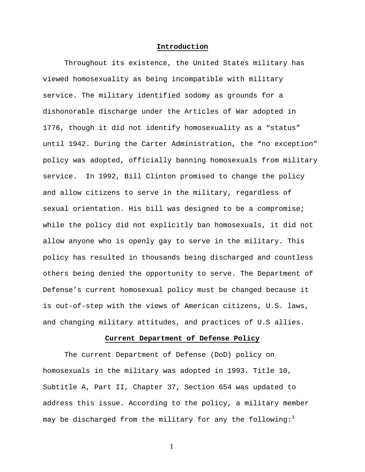### **Introduction**

Throughout its existence, the United States military has viewed homosexuality as being incompatible with military service. The military identified sodomy as grounds for a dishonorable discharge under the Articles of War adopted in 1776, though it did not identify homosexuality as a "status" until 1942. During the Carter Administration, the "no exception" policy was adopted, officially banning homosexuals from military service. In 1992, Bill Clinton promised to change the policy and allow citizens to serve in the military, regardless of sexual orientation. His bill was designed to be a compromise; while the policy did not explicitly ban homosexuals, it did not allow anyone who is openly gay to serve in the military. This policy has resulted in thousands being discharged and countless others being denied the opportunity to serve. The Department of Defense's current homosexual policy must be changed because it is out-of-step with the views of American citizens, U.S. laws, and changing military attitudes, and practices of U.S allies.

# **Current Department of Defense Policy**

The current Department of Defense (DoD) policy on homosexuals in the military was adopted in 1993. Title 10, Subtitle A, Part II, Chapter 37, Section 654 was updated to address this issue. According to the policy, a military member may be discharged from the military for any the following:<sup>1</sup>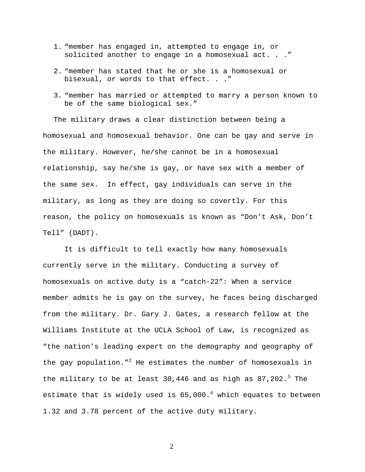- 1. "member has engaged in, attempted to engage in, or solicited another to engage in a homosexual act. . ."
- 2. "member has stated that he or she is a homosexual or bisexual, or words to that effect. . ."
- 3. "member has married or attempted to marry a person known to be of the same biological sex."

The military draws a clear distinction between being a homosexual and homosexual behavior. One can be gay and serve in the military. However, he/she cannot be in a homosexual relationship, say he/she is gay, or have sex with a member of the same sex. In effect, gay individuals can serve in the military, as long as they are doing so covertly. For this reason, the policy on homosexuals is known as "Don't Ask, Don't Tell" (DADT).

It is difficult to tell exactly how many homosexuals currently serve in the military. Conducting a survey of homosexuals on active duty is a "catch-22": When a service member admits he is gay on the survey, he faces being discharged from the military. Dr. Gary J. Gates, a research fellow at the Williams Institute at the UCLA School of Law, is recognized as "the nation's leading expert on the demography and geography of the gay population."<sup>2</sup> He estimates the number of homosexuals in the military to be at least 30,446 and as high as  $87,202.^3$  The estimate that is widely used is  $65,000.^4$  which equates to between 1.32 and 3.78 percent of the active duty military.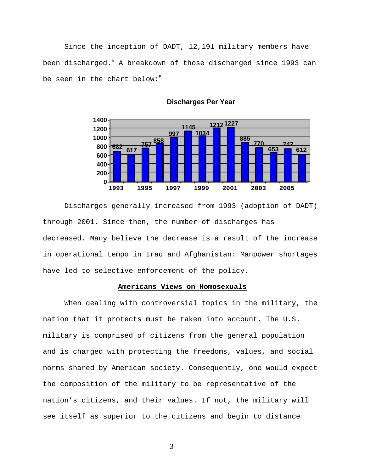Since the inception of DADT, 12,191 military members have been discharged.<sup>5</sup> A breakdown of those discharged since 1993 can be seen in the chart below:<sup>5</sup>



**Discharges Per Year**

 Discharges generally increased from 1993 (adoption of DADT) through 2001. Since then, the number of discharges has decreased. Many believe the decrease is a result of the increase in operational tempo in Iraq and Afghanistan: Manpower shortages have led to selective enforcement of the policy.

# **Americans Views on Homosexuals**

 When dealing with controversial topics in the military, the nation that it protects must be taken into account. The U.S. military is comprised of citizens from the general population and is charged with protecting the freedoms, values, and social norms shared by American society. Consequently, one would expect the composition of the military to be representative of the nation's citizens, and their values. If not, the military will see itself as superior to the citizens and begin to distance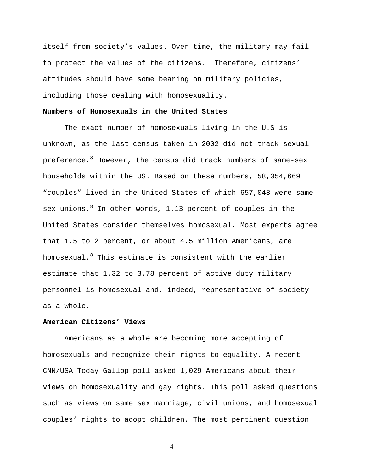itself from society's values. Over time, the military may fail to protect the values of the citizens. Therefore, citizens' attitudes should have some bearing on military policies, including those dealing with homosexuality.

# **Numbers of Homosexuals in the United States**

The exact number of homosexuals living in the U.S is unknown, as the last census taken in 2002 did not track sexual preference. $^8$  However, the census did track numbers of same-sex households within the US. Based on these numbers, 58,354,669 "couples" lived in the United States of which 657,048 were samesex unions.<sup>8</sup> In other words, 1.13 percent of couples in the United States consider themselves homosexual. Most experts agree that 1.5 to 2 percent, or about 4.5 million Americans, are homosexual. $^8$  This estimate is consistent with the earlier estimate that 1.32 to 3.78 percent of active duty military personnel is homosexual and, indeed, representative of society as a whole.

# **American Citizens' Views**

Americans as a whole are becoming more accepting of homosexuals and recognize their rights to equality. A recent CNN/USA Today Gallop poll asked 1,029 Americans about their views on homosexuality and gay rights. This poll asked questions such as views on same sex marriage, civil unions, and homosexual couples' rights to adopt children. The most pertinent question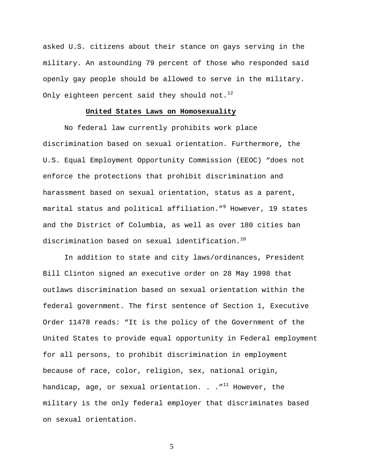asked U.S. citizens about their stance on gays serving in the military. An astounding 79 percent of those who responded said openly gay people should be allowed to serve in the military. Only eighteen percent said they should not.<sup>12</sup>

### **United States Laws on Homosexuality**

No federal law currently prohibits work place discrimination based on sexual orientation. Furthermore, the U.S. Equal Employment Opportunity Commission (EEOC) "does not enforce the protections that prohibit discrimination and harassment based on sexual orientation, status as a parent, marital status and political affiliation."<sup>9</sup> However, 19 states and the District of Columbia, as well as over 180 cities ban discrimination based on sexual identification.<sup>10</sup>

In addition to state and city laws/ordinances, President Bill Clinton signed an executive order on 28 May 1998 that outlaws discrimination based on sexual orientation within the federal government. The first sentence of Section 1, Executive Order 11478 reads: "It is the policy of the Government of the United States to provide equal opportunity in Federal employment for all persons, to prohibit discrimination in employment because of race, color, religion, sex, national origin, handicap, age, or sexual orientation. . .  $''^{11}$  However, the military is the only federal employer that discriminates based on sexual orientation.

 $\overline{5}$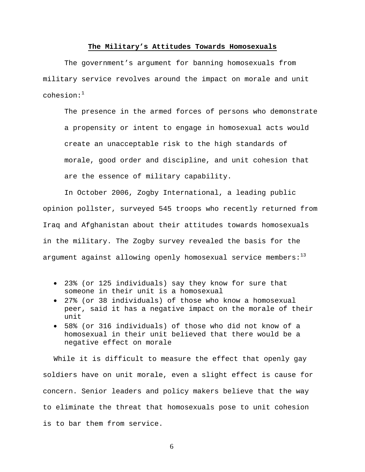### **The Military's Attitudes Towards Homosexuals**

The government's argument for banning homosexuals from military service revolves around the impact on morale and unit  $cohes$ ion: $^1$ 

The presence in the armed forces of persons who demonstrate a propensity or intent to engage in homosexual acts would create an unacceptable risk to the high standards of morale, good order and discipline, and unit cohesion that are the essence of military capability.

In October 2006, Zogby International, a leading public opinion pollster, surveyed 545 troops who recently returned from Iraq and Afghanistan about their attitudes towards homosexuals in the military. The Zogby survey revealed the basis for the argument against allowing openly homosexual service members: $13$ 

- 23% (or 125 individuals) say they know for sure that someone in their unit is a homosexual
- 27% (or 38 individuals) of those who know a homosexual peer, said it has a negative impact on the morale of their unit
- 58% (or 316 individuals) of those who did not know of a homosexual in their unit believed that there would be a negative effect on morale

While it is difficult to measure the effect that openly gay soldiers have on unit morale, even a slight effect is cause for concern. Senior leaders and policy makers believe that the way to eliminate the threat that homosexuals pose to unit cohesion is to bar them from service.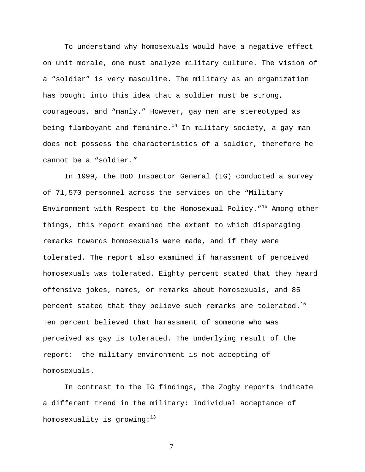To understand why homosexuals would have a negative effect on unit morale, one must analyze military culture. The vision of a "soldier" is very masculine. The military as an organization has bought into this idea that a soldier must be strong, courageous, and "manly." However, gay men are stereotyped as being flamboyant and feminine. $14$  In military society, a gay man does not possess the characteristics of a soldier, therefore he cannot be a "soldier."

In 1999, the DoD Inspector General (IG) conducted a survey of 71,570 personnel across the services on the "Military Environment with Respect to the Homosexual Policy.  $1^{15}$  Among other things, this report examined the extent to which disparaging remarks towards homosexuals were made, and if they were tolerated. The report also examined if harassment of perceived homosexuals was tolerated. Eighty percent stated that they heard offensive jokes, names, or remarks about homosexuals, and 85 percent stated that they believe such remarks are tolerated.<sup>15</sup> Ten percent believed that harassment of someone who was perceived as gay is tolerated. The underlying result of the report: the military environment is not accepting of homosexuals.

In contrast to the IG findings, the Zogby reports indicate a different trend in the military: Individual acceptance of homosexuality is growing: $13$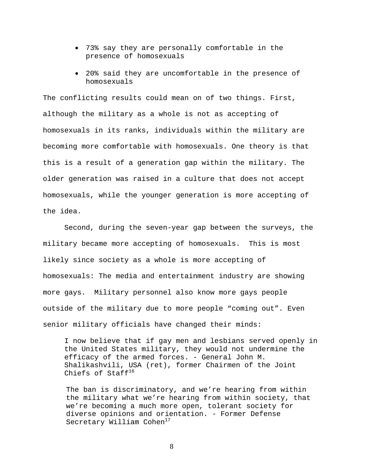- 73% say they are personally comfortable in the presence of homosexuals
- 20% said they are uncomfortable in the presence of homosexuals

The conflicting results could mean on of two things. First, although the military as a whole is not as accepting of homosexuals in its ranks, individuals within the military are becoming more comfortable with homosexuals. One theory is that this is a result of a generation gap within the military. The older generation was raised in a culture that does not accept homosexuals, while the younger generation is more accepting of the idea.

Second, during the seven-year gap between the surveys, the military became more accepting of homosexuals. This is most likely since society as a whole is more accepting of homosexuals: The media and entertainment industry are showing more gays. Military personnel also know more gays people outside of the military due to more people "coming out". Even senior military officials have changed their minds:

I now believe that if gay men and lesbians served openly in the United States military, they would not undermine the efficacy of the armed forces. - General John M. Shalikashvili, USA (ret), former Chairmen of the Joint Chiefs of Staff $^{16}$ 

The ban is discriminatory, and we're hearing from within the military what we're hearing from within society, that we're becoming a much more open, tolerant society for diverse opinions and orientation. - Former Defense Secretary William Cohen $17$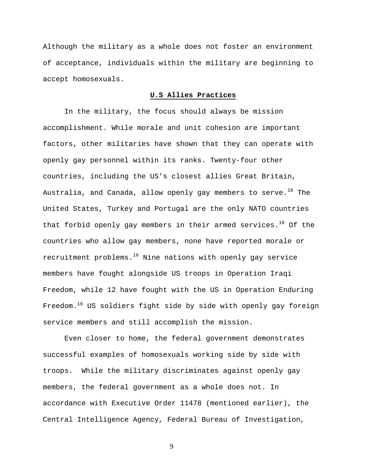Although the military as a whole does not foster an environment of acceptance, individuals within the military are beginning to accept homosexuals.

# **U.S Allies Practices**

In the military, the focus should always be mission accomplishment. While morale and unit cohesion are important factors, other militaries have shown that they can operate with openly gay personnel within its ranks. Twenty-four other countries, including the US's closest allies Great Britain, Australia, and Canada, allow openly gay members to serve.<sup>18</sup> The United States, Turkey and Portugal are the only NATO countries that forbid openly gay members in their armed services.<sup>18</sup> Of the countries who allow gay members, none have reported morale or recruitment problems. $16$  Nine nations with openly gay service members have fought alongside US troops in Operation Iraqi Freedom, while 12 have fought with the US in Operation Enduring Freedom.<sup>16</sup> US soldiers fight side by side with openly gay foreign service members and still accomplish the mission.

Even closer to home, the federal government demonstrates successful examples of homosexuals working side by side with troops. While the military discriminates against openly gay members, the federal government as a whole does not. In accordance with Executive Order 11478 (mentioned earlier), the Central Intelligence Agency, Federal Bureau of Investigation,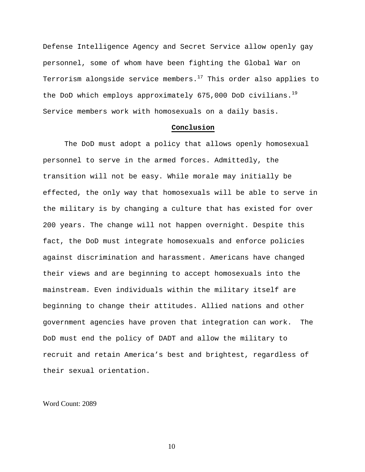Defense Intelligence Agency and Secret Service allow openly gay personnel, some of whom have been fighting the Global War on Terrorism alongside service members. $17$  This order also applies to the DoD which employs approximately 675,000 DoD civilians.<sup>19</sup> Service members work with homosexuals on a daily basis.

### **Conclusion**

The DoD must adopt a policy that allows openly homosexual personnel to serve in the armed forces. Admittedly, the transition will not be easy. While morale may initially be effected, the only way that homosexuals will be able to serve in the military is by changing a culture that has existed for over 200 years. The change will not happen overnight. Despite this fact, the DoD must integrate homosexuals and enforce policies against discrimination and harassment. Americans have changed their views and are beginning to accept homosexuals into the mainstream. Even individuals within the military itself are beginning to change their attitudes. Allied nations and other government agencies have proven that integration can work. The DoD must end the policy of DADT and allow the military to recruit and retain America's best and brightest, regardless of their sexual orientation.

Word Count: 2089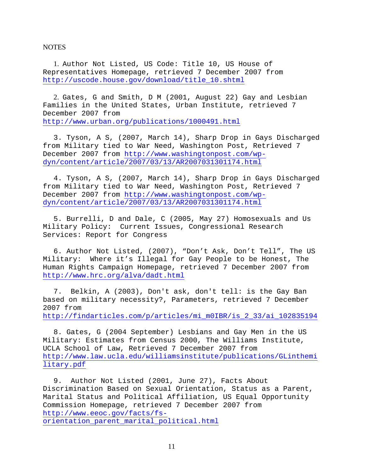**NOTES** 

1. Author Not Listed, US Code: Title 10, US House of Representatives Homepage, retrieved 7 December 2007 from [http://uscode.house.gov/download/title\\_10.shtml](http://uscode.house.gov/download/title_10.shtml)

2. Gates, G and Smith, D M (2001, August 22) Gay and Lesbian Families in the United States, Urban Institute, retrieved 7 December 2007 from <http://www.urban.org/publications/1000491.html>

3. Tyson, A S, (2007, March 14), Sharp Drop in Gays Discharged from Military tied to War Need, Washington Post, Retrieved 7 December 2007 from [http://www.washingtonpost.com/wp](http://www.washingtonpost.com/wp-dyn/content/article/2007/03/13/AR2007031301174.html)[dyn/content/article/2007/03/13/AR2007031301174.html](http://www.washingtonpost.com/wp-dyn/content/article/2007/03/13/AR2007031301174.html)

4. Tyson, A S, (2007, March 14), Sharp Drop in Gays Discharged from Military tied to War Need, Washington Post, Retrieved 7 December 2007 from [http://www.washingtonpost.com/wp](http://www.washingtonpost.com/wp-dyn/content/article/2007/03/13/AR2007031301174.html)[dyn/content/article/2007/03/13/AR2007031301174.html](http://www.washingtonpost.com/wp-dyn/content/article/2007/03/13/AR2007031301174.html)

5. Burrelli, D and Dale, C (2005, May 27) Homosexuals and Us Military Policy: Current Issues, Congressional Research Services: Report for Congress

6. Author Not Listed, (2007), "Don't Ask, Don't Tell", The US Military: Where it's Illegal for Gay People to be Honest, The Human Rights Campaign Homepage, retrieved 7 December 2007 from <http://www.hrc.org/alva/dadt.html>

7. Belkin, A (2003), Don't ask, don't tell: is the Gay Ban based on military necessity?, Parameters, retrieved 7 December 2007 from [http://findarticles.com/p/articles/mi\\_m0IBR/is\\_2\\_33/ai\\_102835194](http://findarticles.com/p/articles/mi_m0IBR/is_2_33/ai_102835194)

8. Gates, G (2004 September) Lesbians and Gay Men in the US Military: Estimates from Census 2000, The Williams Institute, UCLA School of Law, Retrieved 7 December 2007 from [http://www.law.ucla.edu/williamsinstitute/publications/GLinthemi](http://www.law.ucla.edu/williamsinstitute/publications/GLinthemilitary.pdf) [litary.pdf](http://www.law.ucla.edu/williamsinstitute/publications/GLinthemilitary.pdf)

9. Author Not Listed (2001, June 27), Facts About Discrimination Based on Sexual Orientation, Status as a Parent, Marital Status and Political Affiliation, US Equal Opportunity Commission Homepage, retrieved 7 December 2007 from [http://www.eeoc.gov/facts/fs](http://www.eeoc.gov/facts/fs-orientation_parent_marital_political.html)[orientation\\_parent\\_marital\\_political.html](http://www.eeoc.gov/facts/fs-orientation_parent_marital_political.html)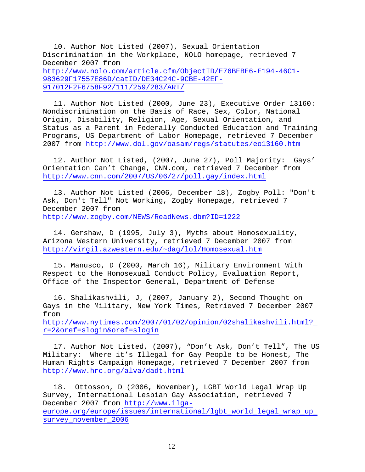10. Author Not Listed (2007), Sexual Orientation Discrimination in the Workplace, NOLO homepage, retrieved 7 December 2007 from [http://www.nolo.com/article.cfm/ObjectID/E76BEBE6-E194-46C1-](http://www.nolo.com/article.cfm/ObjectID/E76BEBE6-E194-46C1-983629F17557E86D/catID/DE34C24C-9CBE-42EF-917012F2F6758F92/111/259/283/ART/) [983629F17557E86D/catID/DE34C24C-9CBE-42EF-](http://www.nolo.com/article.cfm/ObjectID/E76BEBE6-E194-46C1-983629F17557E86D/catID/DE34C24C-9CBE-42EF-917012F2F6758F92/111/259/283/ART/)[917012F2F6758F92/111/259/283/ART/](http://www.nolo.com/article.cfm/ObjectID/E76BEBE6-E194-46C1-983629F17557E86D/catID/DE34C24C-9CBE-42EF-917012F2F6758F92/111/259/283/ART/)

11. Author Not Listed (2000, June 23), Executive Order 13160: Nondiscrimination on the Basis of Race, Sex, Color, National Origin, Disability, Religion, Age, Sexual Orientation, and Status as a Parent in Federally Conducted Education and Training Programs, US Department of Labor Homepage, retrieved 7 December 2007 from <http://www.dol.gov/oasam/regs/statutes/eo13160.htm>

12. Author Not Listed, (2007, June 27), Poll Majority: Gays' Orientation Can't Change, CNN.com, retrieved 7 December from <http://www.cnn.com/2007/US/06/27/poll.gay/index.html>

13. Author Not Listed (2006, December 18), Zogby Poll: "Don't Ask, Don't Tell" Not Working, Zogby Homepage, retrieved 7 December 2007 from <http://www.zogby.com/NEWS/ReadNews.dbm?ID=1222>

14. Gershaw, D (1995, July 3), Myths about Homosexuality, Arizona Western University, retrieved 7 December 2007 from <http://virgil.azwestern.edu/~dag/lol/Homosexual.htm>

15. Manusco, D (2000, March 16), Military Environment With Respect to the Homosexual Conduct Policy, Evaluation Report, Office of the Inspector General, Department of Defense

16. Shalikashvili, J, (2007, January 2), Second Thought on Gays in the Military, New York Times, Retrieved 7 December 2007 from

[http://www.nytimes.com/2007/01/02/opinion/02shalikashvili.html?\\_](http://www.nytimes.com/2007/01/02/opinion/02shalikashvili.html?_r=2&oref=slogin&oref=slogin) [r=2&oref=slogin&oref=slogin](http://www.nytimes.com/2007/01/02/opinion/02shalikashvili.html?_r=2&oref=slogin&oref=slogin)

17. Author Not Listed, (2007), "Don't Ask, Don't Tell", The US Military: Where it's Illegal for Gay People to be Honest, The Human Rights Campaign Homepage, retrieved 7 December 2007 from <http://www.hrc.org/alva/dadt.html>

18. Ottosson, D (2006, November), LGBT World Legal Wrap Up Survey, International Lesbian Gay Association, retrieved 7 December 2007 from [http://www.ilga](http://www.ilga-europe.org/europe/issues/international/lgbt_world_legal_wrap_up_survey_november_2006)[europe.org/europe/issues/international/lgbt\\_world\\_legal\\_wrap\\_up\\_](http://www.ilga-europe.org/europe/issues/international/lgbt_world_legal_wrap_up_survey_november_2006) [survey\\_november\\_2006](http://www.ilga-europe.org/europe/issues/international/lgbt_world_legal_wrap_up_survey_november_2006)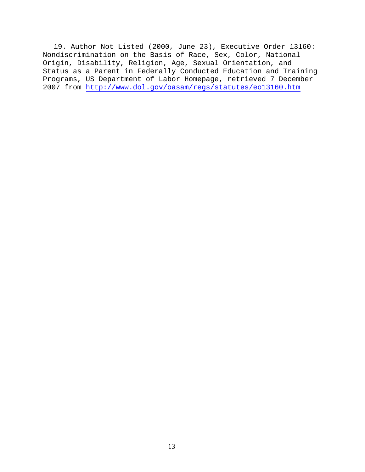19. Author Not Listed (2000, June 23), Executive Order 13160: Nondiscrimination on the Basis of Race, Sex, Color, National Origin, Disability, Religion, Age, Sexual Orientation, and Status as a Parent in Federally Conducted Education and Training Programs, US Department of Labor Homepage, retrieved 7 December 2007 from <http://www.dol.gov/oasam/regs/statutes/eo13160.htm>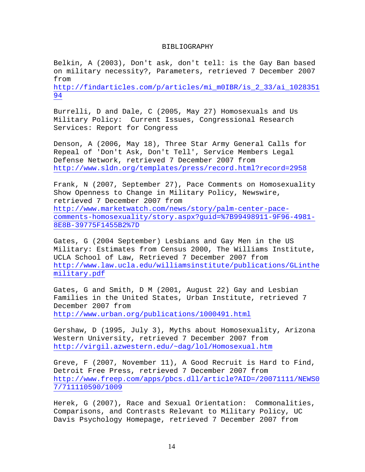#### BIBLIOGRAPHY

Belkin, A (2003), Don't ask, don't tell: is the Gay Ban based on military necessity?, Parameters, retrieved 7 December 2007 from [http://findarticles.com/p/articles/mi\\_m0IBR/is\\_2\\_33/ai\\_1028351](http://findarticles.com/p/articles/mi_m0IBR/is_2_33/ai_102835194) [94](http://findarticles.com/p/articles/mi_m0IBR/is_2_33/ai_102835194)

Burrelli, D and Dale, C (2005, May 27) Homosexuals and Us Military Policy: Current Issues, Congressional Research Services: Report for Congress

Denson, A (2006, May 18), Three Star Army General Calls for Repeal of 'Don't Ask, Don't Tell', Service Members Legal Defense Network, retrieved 7 December 2007 from <http://www.sldn.org/templates/press/record.html?record=2958>

Frank, N (2007, September 27), Pace Comments on Homosexuality Show Openness to Change in Military Policy, Newswire, retrieved 7 December 2007 from [http://www.marketwatch.com/news/story/palm-center-pace](http://www.marketwatch.com/news/story/palm-center-pace-comments-homosexuality/story.aspx?guid=%7B99498911-9F96-4981-8E8B-39775F1455B2%7D)[comments-homosexuality/story.aspx?guid=%7B99498911-9F96-4981-](http://www.marketwatch.com/news/story/palm-center-pace-comments-homosexuality/story.aspx?guid=%7B99498911-9F96-4981-8E8B-39775F1455B2%7D) [8E8B-39775F1455B2%7D](http://www.marketwatch.com/news/story/palm-center-pace-comments-homosexuality/story.aspx?guid=%7B99498911-9F96-4981-8E8B-39775F1455B2%7D)

Gates, G (2004 September) Lesbians and Gay Men in the US Military: Estimates from Census 2000, The Williams Institute, UCLA School of Law, Retrieved 7 December 2007 from [http://www.law.ucla.edu/williamsinstitute/publications/GLinthe](http://www.law.ucla.edu/williamsinstitute/publications/GLinthemilitary.pdf) [military.pdf](http://www.law.ucla.edu/williamsinstitute/publications/GLinthemilitary.pdf)

Gates, G and Smith, D M (2001, August 22) Gay and Lesbian Families in the United States, Urban Institute, retrieved 7 December 2007 from <http://www.urban.org/publications/1000491.html>

Gershaw, D (1995, July 3), Myths about Homosexuality, Arizona Western University, retrieved 7 December 2007 from <http://virgil.azwestern.edu/~dag/lol/Homosexual.htm>

Greve, F (2007, November 11), A Good Recruit is Hard to Find, Detroit Free Press, retrieved 7 December 2007 from [http://www.freep.com/apps/pbcs.dll/article?AID=/20071111/NEWS0](http://www.freep.com/apps/pbcs.dll/article?AID=/20071111/NEWS07/711110590/1009) [7/711110590/1009](http://www.freep.com/apps/pbcs.dll/article?AID=/20071111/NEWS07/711110590/1009)

Herek, G (2007), Race and Sexual Orientation: Commonalities, Comparisons, and Contrasts Relevant to Military Policy, UC Davis Psychology Homepage, retrieved 7 December 2007 from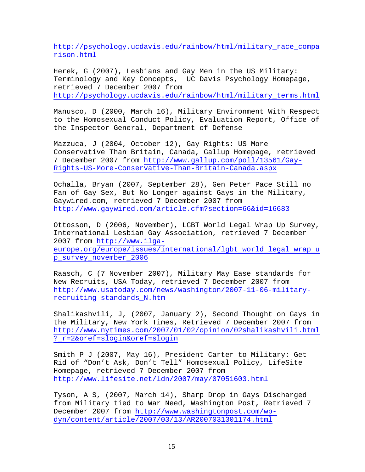[http://psychology.ucdavis.edu/rainbow/html/military\\_race\\_compa](http://psychology.ucdavis.edu/rainbow/html/military_race_comparison.html) [rison.html](http://psychology.ucdavis.edu/rainbow/html/military_race_comparison.html)

Herek, G (2007), Lesbians and Gay Men in the US Military: Terminology and Key Concepts, UC Davis Psychology Homepage, retrieved 7 December 2007 from [http://psychology.ucdavis.edu/rainbow/html/military\\_terms.html](http://psychology.ucdavis.edu/rainbow/html/military_terms.html)

Manusco, D (2000, March 16), Military Environment With Respect to the Homosexual Conduct Policy, Evaluation Report, Office of the Inspector General, Department of Defense

Mazzuca, J (2004, October 12), Gay Rights: US More Conservative Than Britain, Canada, Gallup Homepage, retrieved 7 December 2007 from [http://www.gallup.com/poll/13561/Gay-](http://www.gallup.com/poll/13561/Gay-Rights-US-More-Conservative-Than-Britain-Canada.aspx)[Rights-US-More-Conservative-Than-Britain-Canada.aspx](http://www.gallup.com/poll/13561/Gay-Rights-US-More-Conservative-Than-Britain-Canada.aspx)

Ochalla, Bryan (2007, September 28), Gen Peter Pace Still no Fan of Gay Sex, But No Longer against Gays in the Military, Gaywired.com, retrieved 7 December 2007 from <http://www.gaywired.com/article.cfm?section=66&id=16683>

Ottosson, D (2006, November), LGBT World Legal Wrap Up Survey, International Lesbian Gay Association, retrieved 7 December 2007 from [http://www.ilga](http://www.ilga-europe.org/europe/issues/international/lgbt_world_legal_wrap_up_survey_november_2006)europe.org/europe/issues/international/lgbt world legal wrap u [p\\_survey\\_november\\_2006](http://www.ilga-europe.org/europe/issues/international/lgbt_world_legal_wrap_up_survey_november_2006)

Raasch, C (7 November 2007), Military May Ease standards for New Recruits, USA Today, retrieved 7 December 2007 from [http://www.usatoday.com/news/washington/2007-11-06-military](http://www.usatoday.com/news/washington/2007-11-06-military-recruiting-standards_N.htm)[recruiting-standards\\_N.htm](http://www.usatoday.com/news/washington/2007-11-06-military-recruiting-standards_N.htm)

Shalikashvili, J, (2007, January 2), Second Thought on Gays in the Military, New York Times, Retrieved 7 December 2007 from [http://www.nytimes.com/2007/01/02/opinion/02shalikashvili.html](http://www.nytimes.com/2007/01/02/opinion/02shalikashvili.html?_r=2&oref=slogin&oref=slogin) [?\\_r=2&oref=slogin&oref=slogin](http://www.nytimes.com/2007/01/02/opinion/02shalikashvili.html?_r=2&oref=slogin&oref=slogin)

Smith P J (2007, May 16), President Carter to Military: Get Rid of "Don't Ask, Don't Tell" Homosexual Policy, LifeSite Homepage, retrieved 7 December 2007 from <http://www.lifesite.net/ldn/2007/may/07051603.html>

Tyson, A S, (2007, March 14), Sharp Drop in Gays Discharged from Military tied to War Need, Washington Post, Retrieved 7 December 2007 from [http://www.washingtonpost.com/wp](http://www.washingtonpost.com/wp-dyn/content/article/2007/03/13/AR2007031301174.html)[dyn/content/article/2007/03/13/AR2007031301174.html](http://www.washingtonpost.com/wp-dyn/content/article/2007/03/13/AR2007031301174.html)